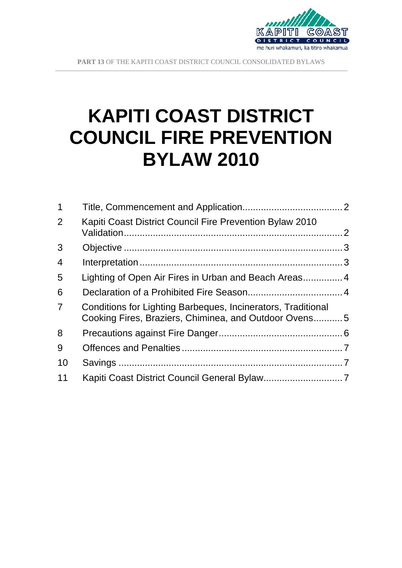

**PART 13** OF THE KAPITI COAST DISTRICT COUNCIL CONSOLIDATED BYLAWS

 $\overline{a}$ 

# **KAPITI COAST DISTRICT COUNCIL FIRE PREVENTION BYLAW 2010**

| $\mathbf 1$    |                                                                                                                       |  |
|----------------|-----------------------------------------------------------------------------------------------------------------------|--|
| 2              | Kapiti Coast District Council Fire Prevention Bylaw 2010                                                              |  |
| 3              |                                                                                                                       |  |
| $\overline{4}$ |                                                                                                                       |  |
| 5              |                                                                                                                       |  |
| 6              |                                                                                                                       |  |
| $\overline{7}$ | Conditions for Lighting Barbeques, Incinerators, Traditional<br>Cooking Fires, Braziers, Chiminea, and Outdoor Ovens5 |  |
| 8              |                                                                                                                       |  |
| 9              |                                                                                                                       |  |
| 10             |                                                                                                                       |  |
| 11             |                                                                                                                       |  |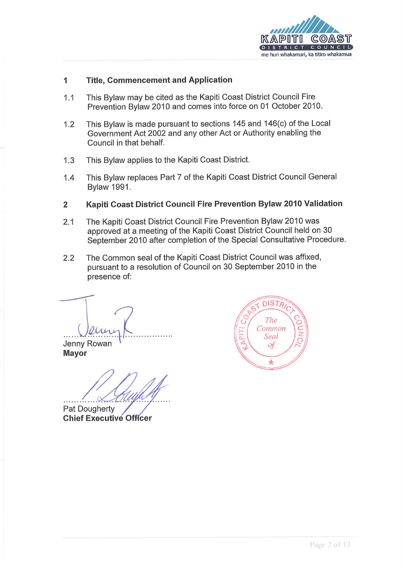

#### $\mathbf{1}$ **Title, Commencement and Application**

- This Bylaw may be cited as the Kapiti Coast District Council Fire  $1.1$ Prevention Bylaw 2010 and comes into force on 01 October 2010.
- This Bylaw is made pursuant to sections 145 and 146(c) of the Local  $1.2$ Government Act 2002 and any other Act or Authority enabling the Council in that behalf.
- $1.3$ This Bylaw applies to the Kapiti Coast District.
- This Bylaw replaces Part 7 of the Kapiti Coast District Council General  $1.4$ **Bylaw 1991.**
- $\overline{2}$ Kapiti Coast District Council Fire Prevention Bylaw 2010 Validation
- The Kapiti Coast District Council Fire Prevention Bylaw 2010 was  $2.1$ approved at a meeting of the Kapiti Coast District Council held on 30 September 2010 after completion of the Special Consultative Procedure.
- The Common seal of the Kapiti Coast District Council was affixed.  $2.2$ pursuant to a resolution of Council on 30 September 2010 in the presence of:

Jenny Rowan **Mayor** 

Pat Dougherty **Chief Executive Officer** 

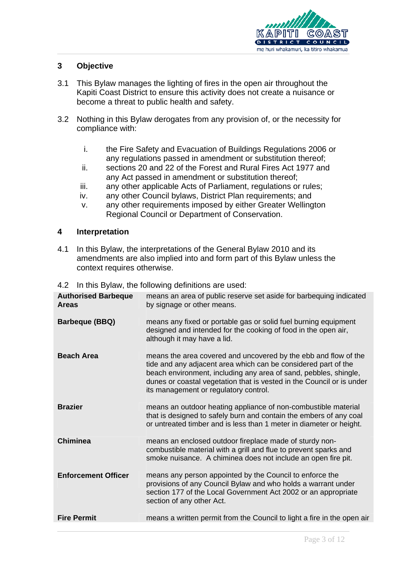

## <span id="page-2-0"></span>**3 Objective**

- 3.1 This Bylaw manages the lighting of fires in the open air throughout the Kapiti Coast District to ensure this activity does not create a nuisance or become a threat to public health and safety.
- 3.2 Nothing in this Bylaw derogates from any provision of, or the necessity for compliance with:
	- i. the Fire Safety and Evacuation of Buildings Regulations 2006 or any regulations passed in amendment or substitution thereof;
	- ii. sections 20 and 22 of the Forest and Rural Fires Act 1977 and any Act passed in amendment or substitution thereof;
	- iii. any other applicable Acts of Parliament, regulations or rules;
	- iv. any other Council bylaws, District Plan requirements; and
	- v. any other requirements imposed by either Greater Wellington Regional Council or Department of Conservation.

#### <span id="page-2-1"></span>**4 Interpretation**

4.1 In this Bylaw, the interpretations of the General Bylaw 2010 and its amendments are also implied into and form part of this Bylaw unless the context requires otherwise.

| <b>Authorised Barbeque</b><br><b>Areas</b> | means an area of public reserve set aside for barbequing indicated<br>by signage or other means.                                                                                                                                                                                                                        |
|--------------------------------------------|-------------------------------------------------------------------------------------------------------------------------------------------------------------------------------------------------------------------------------------------------------------------------------------------------------------------------|
| <b>Barbeque (BBQ)</b>                      | means any fixed or portable gas or solid fuel burning equipment<br>designed and intended for the cooking of food in the open air,<br>although it may have a lid.                                                                                                                                                        |
| <b>Beach Area</b>                          | means the area covered and uncovered by the ebb and flow of the<br>tide and any adjacent area which can be considered part of the<br>beach environment, including any area of sand, pebbles, shingle,<br>dunes or coastal vegetation that is vested in the Council or is under<br>its management or regulatory control. |
| <b>Brazier</b>                             | means an outdoor heating appliance of non-combustible material<br>that is designed to safely burn and contain the embers of any coal<br>or untreated timber and is less than 1 meter in diameter or height.                                                                                                             |
| <b>Chiminea</b>                            | means an enclosed outdoor fireplace made of sturdy non-<br>combustible material with a grill and flue to prevent sparks and<br>smoke nuisance. A chiminea does not include an open fire pit.                                                                                                                            |
| <b>Enforcement Officer</b>                 | means any person appointed by the Council to enforce the<br>provisions of any Council Bylaw and who holds a warrant under<br>section 177 of the Local Government Act 2002 or an appropriate<br>section of any other Act.                                                                                                |
| <b>Fire Permit</b>                         | means a written permit from the Council to light a fire in the open air                                                                                                                                                                                                                                                 |

4.2 In this Bylaw, the following definitions are used: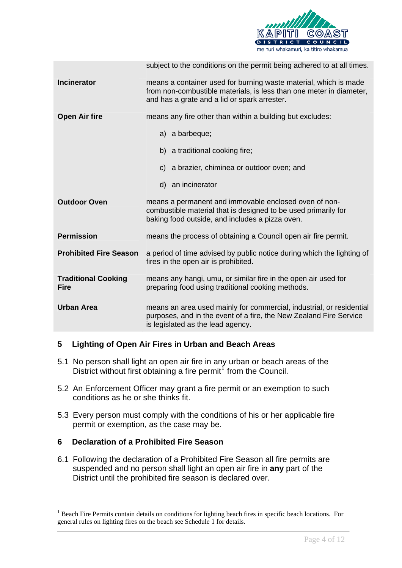

|                                           | subject to the conditions on the permit being adhered to at all times.                                                                                                                  |
|-------------------------------------------|-----------------------------------------------------------------------------------------------------------------------------------------------------------------------------------------|
| <b>Incinerator</b>                        | means a container used for burning waste material, which is made<br>from non-combustible materials, is less than one meter in diameter,<br>and has a grate and a lid or spark arrester. |
| <b>Open Air fire</b>                      | means any fire other than within a building but excludes:                                                                                                                               |
|                                           | a) a barbeque;                                                                                                                                                                          |
|                                           | b) a traditional cooking fire;                                                                                                                                                          |
|                                           | c) a brazier, chiminea or outdoor oven; and                                                                                                                                             |
|                                           | d) an incinerator                                                                                                                                                                       |
| <b>Outdoor Oven</b>                       | means a permanent and immovable enclosed oven of non-<br>combustible material that is designed to be used primarily for<br>baking food outside, and includes a pizza oven.              |
| <b>Permission</b>                         | means the process of obtaining a Council open air fire permit.                                                                                                                          |
| <b>Prohibited Fire Season</b>             | a period of time advised by public notice during which the lighting of<br>fires in the open air is prohibited.                                                                          |
| <b>Traditional Cooking</b><br><b>Fire</b> | means any hangi, umu, or similar fire in the open air used for<br>preparing food using traditional cooking methods.                                                                     |
| <b>Urban Area</b>                         | means an area used mainly for commercial, industrial, or residential<br>purposes, and in the event of a fire, the New Zealand Fire Service<br>is legislated as the lead agency.         |

#### <span id="page-3-0"></span>**5 Lighting of Open Air Fires in Urban and Beach Areas**

- 5.1 No person shall light an open air fire in any urban or beach areas of the District without first obtaining a fire permit<sup>[1](#page-3-2)</sup> from the Council.
- 5.2 An Enforcement Officer may grant a fire permit or an exemption to such conditions as he or she thinks fit.
- 5.3 Every person must comply with the conditions of his or her applicable fire permit or exemption, as the case may be.

#### <span id="page-3-1"></span>**6 Declaration of a Prohibited Fire Season**

 $\overline{a}$ 

6.1 Following the declaration of a Prohibited Fire Season all fire permits are suspended and no person shall light an open air fire in **any** part of the District until the prohibited fire season is declared over.

<span id="page-3-2"></span><sup>&</sup>lt;sup>1</sup> Beach Fire Permits contain details on conditions for lighting beach fires in specific beach locations. For general rules on lighting fires on the beach see Schedule 1 for details.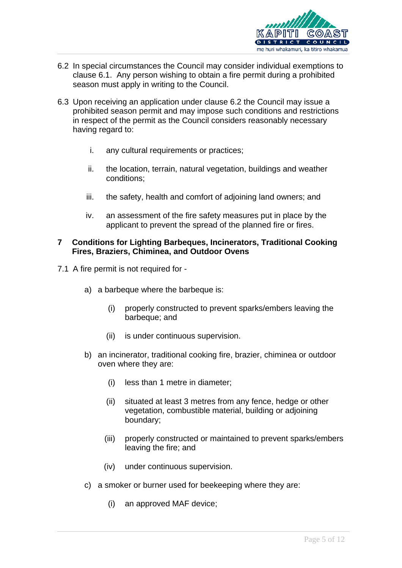

- 6.2 In special circumstances the Council may consider individual exemptions to clause 6.1. Any person wishing to obtain a fire permit during a prohibited season must apply in writing to the Council.
- 6.3 Upon receiving an application under clause 6.2 the Council may issue a prohibited season permit and may impose such conditions and restrictions in respect of the permit as the Council considers reasonably necessary having regard to:
	- i. any cultural requirements or practices;
	- ii. the location, terrain, natural vegetation, buildings and weather conditions;
	- iii. the safety, health and comfort of adjoining land owners; and
	- iv. an assessment of the fire safety measures put in place by the applicant to prevent the spread of the planned fire or fires.

#### <span id="page-4-0"></span>**7 Conditions for Lighting Barbeques, Incinerators, Traditional Cooking Fires, Braziers, Chiminea, and Outdoor Ovens**

- 7.1 A fire permit is not required for
	- a) a barbeque where the barbeque is:
		- (i) properly constructed to prevent sparks/embers leaving the barbeque; and
		- (ii) is under continuous supervision.
	- b) an incinerator, traditional cooking fire, brazier, chiminea or outdoor oven where they are:
		- (i) less than 1 metre in diameter;
		- (ii) situated at least 3 metres from any fence, hedge or other vegetation, combustible material, building or adjoining boundary;
		- (iii) properly constructed or maintained to prevent sparks/embers leaving the fire; and
		- (iv) under continuous supervision.
	- c) a smoker or burner used for beekeeping where they are:
		- (i) an approved MAF device;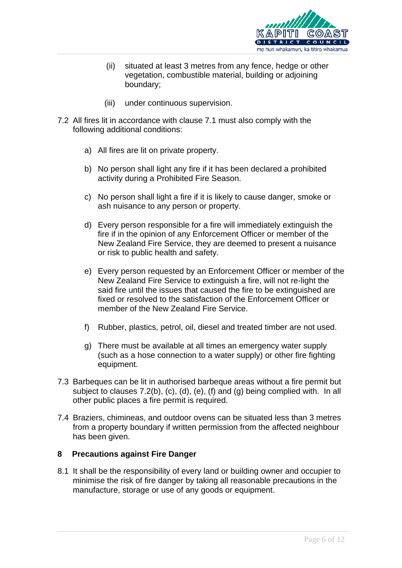

- (ii) situated at least 3 metres from any fence, hedge or other vegetation, combustible material, building or adjoining boundary;
- (iii) under continuous supervision.
- 7.2 All fires lit in accordance with clause 7.1 must also comply with the following additional conditions:
	- a) All fires are lit on private property.
	- b) No person shall light any fire if it has been declared a prohibited activity during a Prohibited Fire Season.
	- c) No person shall light a fire if it is likely to cause danger, smoke or ash nuisance to any person or property.
	- d) Every person responsible for a fire will immediately extinguish the fire if in the opinion of any Enforcement Officer or member of the New Zealand Fire Service, they are deemed to present a nuisance or risk to public health and safety.
	- e) Every person requested by an Enforcement Officer or member of the New Zealand Fire Service to extinguish a fire, will not re-light the said fire until the issues that caused the fire to be extinguished are fixed or resolved to the satisfaction of the Enforcement Officer or member of the New Zealand Fire Service.
	- f) Rubber, plastics, petrol, oil, diesel and treated timber are not used.
	- g) There must be available at all times an emergency water supply (such as a hose connection to a water supply) or other fire fighting equipment.
- 7.3 Barbeques can be lit in authorised barbeque areas without a fire permit but subject to clauses 7.2(b), (c), (d), (e), (f) and (g) being complied with. In all other public places a fire permit is required.
- 7.4 Braziers, chimineas, and outdoor ovens can be situated less than 3 metres from a property boundary if written permission from the affected neighbour has been given.

#### <span id="page-5-0"></span>**8 Precautions against Fire Danger**

8.1 It shall be the responsibility of every land or building owner and occupier to minimise the risk of fire danger by taking all reasonable precautions in the manufacture, storage or use of any goods or equipment.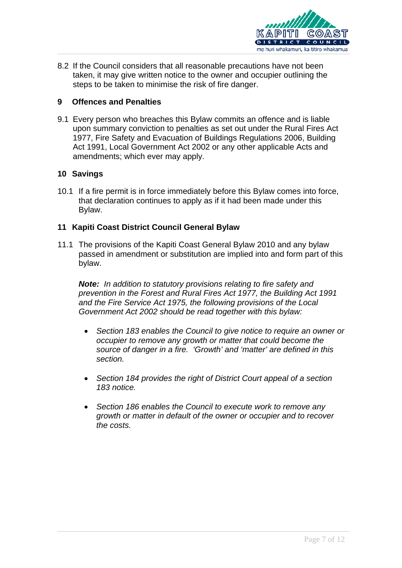

8.2 If the Council considers that all reasonable precautions have not been taken, it may give written notice to the owner and occupier outlining the steps to be taken to minimise the risk of fire danger.

#### <span id="page-6-0"></span>**9 Offences and Penalties**

9.1 Every person who breaches this Bylaw commits an offence and is liable upon summary conviction to penalties as set out under the Rural Fires Act 1977, Fire Safety and Evacuation of Buildings Regulations 2006, Building Act 1991, Local Government Act 2002 or any other applicable Acts and amendments; which ever may apply.

#### <span id="page-6-1"></span>**10 Savings**

10.1 If a fire permit is in force immediately before this Bylaw comes into force, that declaration continues to apply as if it had been made under this Bylaw.

## <span id="page-6-2"></span>**11 Kapiti Coast District Council General Bylaw**

11.1 The provisions of the Kapiti Coast General Bylaw 2010 and any bylaw passed in amendment or substitution are implied into and form part of this bylaw.

*Note: In addition to statutory provisions relating to fire safety and prevention in the Forest and Rural Fires Act 1977, the Building Act 1991 and the Fire Service Act 1975, the following provisions of the Local Government Act 2002 should be read together with this bylaw:* 

- *Section 183 enables the Council to give notice to require an owner or occupier to remove any growth or matter that could become the source of danger in a fire. 'Growth' and 'matter' are defined in this section.*
- *Section 184 provides the right of District Court appeal of a section 183 notice.*
- *Section 186 enables the Council to execute work to remove any growth or matter in default of the owner or occupier and to recover the costs.*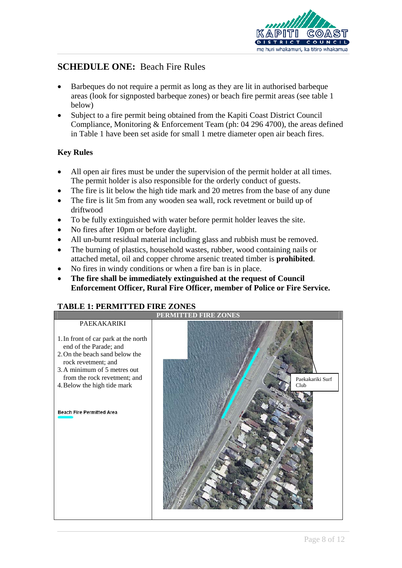

# **SCHEDULE ONE:** Beach Fire Rules

- Barbeques do not require a permit as long as they are lit in authorised barbeque areas (look for signposted barbeque zones) or beach fire permit areas (see table 1 below)
- Subject to a fire permit being obtained from the Kapiti Coast District Council Compliance, Monitoring & Enforcement Team (ph: 04 296 4700), the areas defined in Table 1 have been set aside for small 1 metre diameter open air beach fires.

# **Key Rules**

- All open air fires must be under the supervision of the permit holder at all times. The permit holder is also responsible for the orderly conduct of guests.
- The fire is lit below the high tide mark and 20 metres from the base of any dune
- The fire is lit 5m from any wooden sea wall, rock revetment or build up of driftwood
- To be fully extinguished with water before permit holder leaves the site.
- No fires after 10pm or before daylight.
- All un-burnt residual material including glass and rubbish must be removed.
- The burning of plastics, household wastes, rubber, wood containing nails or attached metal, oil and copper chrome arsenic treated timber is **prohibited**.
- No fires in windy conditions or when a fire ban is in place.
- **The fire shall be immediately extinguished at the request of Council Enforcement Officer, Rural Fire Officer, member of Police or Fire Service.**

# **TABLE 1: PERMITTED FIRE ZONES**

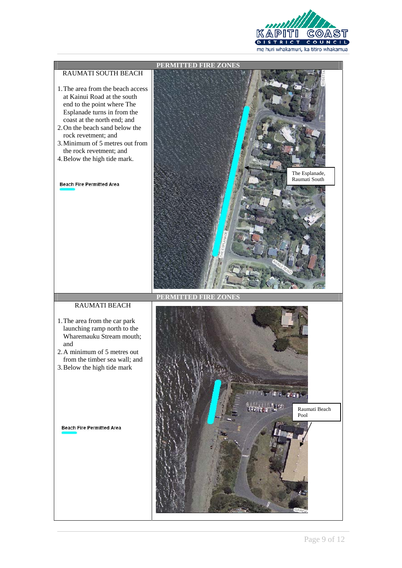

#### RAUMATI SOUTH BEACH

- 1.The area from the beach access at Kainui Road at the south end to the point where The Esplanade turns in from the coast at the north end; and
- 2.On the beach sand below the rock revetment; and
- 3.Minimum of 5 metres out from the rock revetment; and
- 4.Below the high tide mark.

#### **Beach Fire Permitted Area**



**PERMITTED FIRE ZONES** 

#### RAUMATI BEACH

- 1.The area from the car park launching ramp north to the Wharemauku Stream mouth; and
- 2.A minimum of 5 metres out from the timber sea wall; and
- 3.Below the high tide mark

**Beach Fire Permitted Area** 

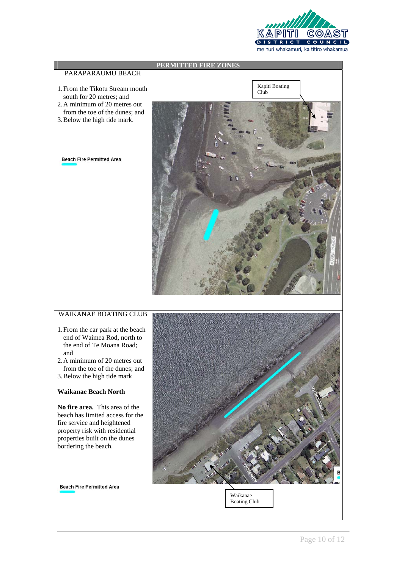

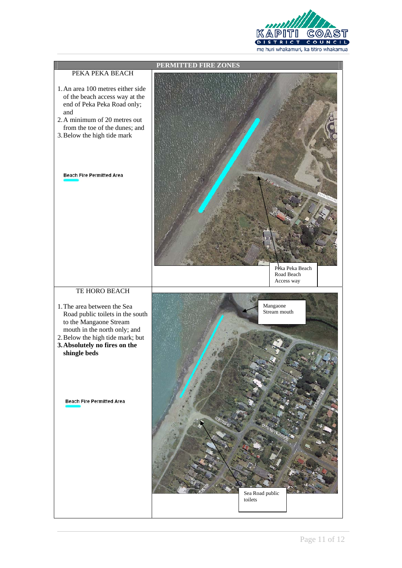

#### PEKA PEKA BEACH

**PERMITTED FIRE ZONES** 

- 1.An area 100 metres either side of the beach access way at the end of Peka Peka Road only; and
- 2.A minimum of 20 metres out from the toe of the dunes; and
- 3.Below the high tide mark

**Beach Fire Permitted Area** 

Peka Peka Beach Road Beach Access way

#### TE HORO BEACH

- 1.The area between the Sea Road public toilets in the south to the Mangaone Stream mouth in the north only; and
- 2.Below the high tide mark; but
- **3.Absolutely no fires on the shingle beds**

**Beach Fire Permitted Area**